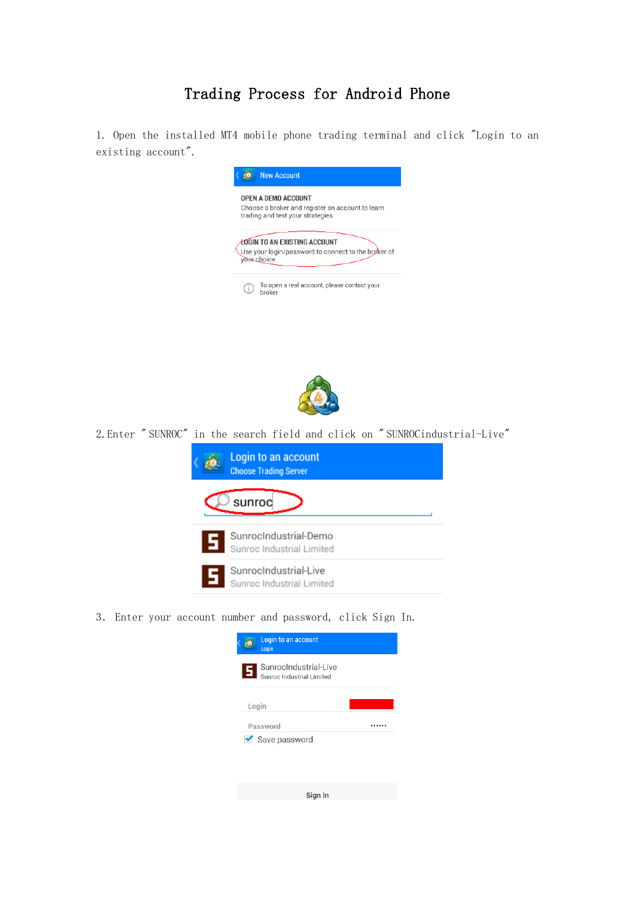## Trading Process for Android Phone

1. Open the installed MT4 mobile phone trading terminal and click "Login to an existing account".





2.Enter " SUNROC" in the search field and click on " SUNROCindustrial-Live"



3. Enter your account number and password, click Sign In.

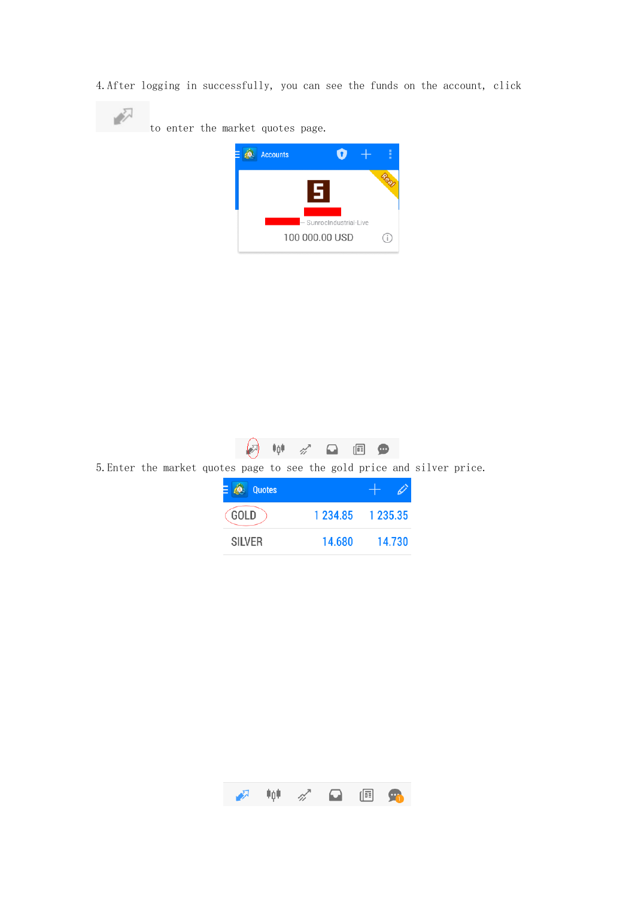4.After logging in successfully, you can see the funds on the account, click







5.Enter the market quotes page to see the gold price and silver price.

| <b>Quotes</b> |        |                         |
|---------------|--------|-------------------------|
| GOLD          |        | 1 2 3 4 8 5 1 2 3 5 3 5 |
| <b>SILVER</b> | 14.680 | 14.730                  |

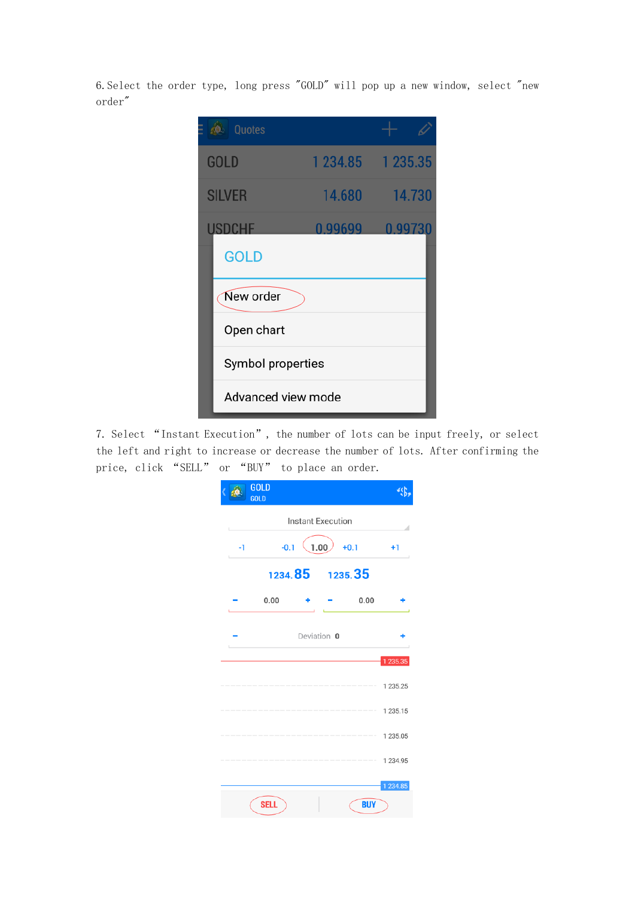6.Select the order type, long press "GOLD" will pop up a new window, select "new order"

| Quotes             |         |                   |
|--------------------|---------|-------------------|
| <b>GOLD</b>        |         | 1 234.85 1 235.35 |
| <b>SILVER</b>      | 14.680  | $-14.730$         |
| <b>USDCHE</b>      | 0.99699 | 0.99730           |
| <b>GOLD</b>        |         |                   |
| New order          |         |                   |
| Open chart         |         |                   |
| Symbol properties  |         |                   |
| Advanced view mode |         |                   |

7. Select "Instant Execution", the number of lots can be input freely, or select the left and right to increase or decrease the number of lots. After confirming the price, click "SELL" or "BUY" to place an order.

|      | GOLD<br>GOLD |                   |         |            |               |
|------|--------------|-------------------|---------|------------|---------------|
|      |              | Instant Execution |         |            |               |
| $-1$ | $-0.1$       | 1.00              |         | $+0.1$     | $+1$          |
|      |              | 1234.85           | 1235.35 |            |               |
|      | 0.00         |                   |         | 0.00       |               |
|      |              | Deviation 0       |         |            |               |
|      |              |                   |         |            | 1 2 3 5 . 3 5 |
|      |              |                   |         |            | 1 235.25      |
|      |              |                   |         |            | 1 235.15      |
|      |              |                   |         |            | 1 235.05      |
|      |              |                   |         |            | 1 234.95      |
|      |              |                   |         |            | 1 2 3 4 . 8 5 |
|      | <b>SELL</b>  |                   |         | <b>BUY</b> |               |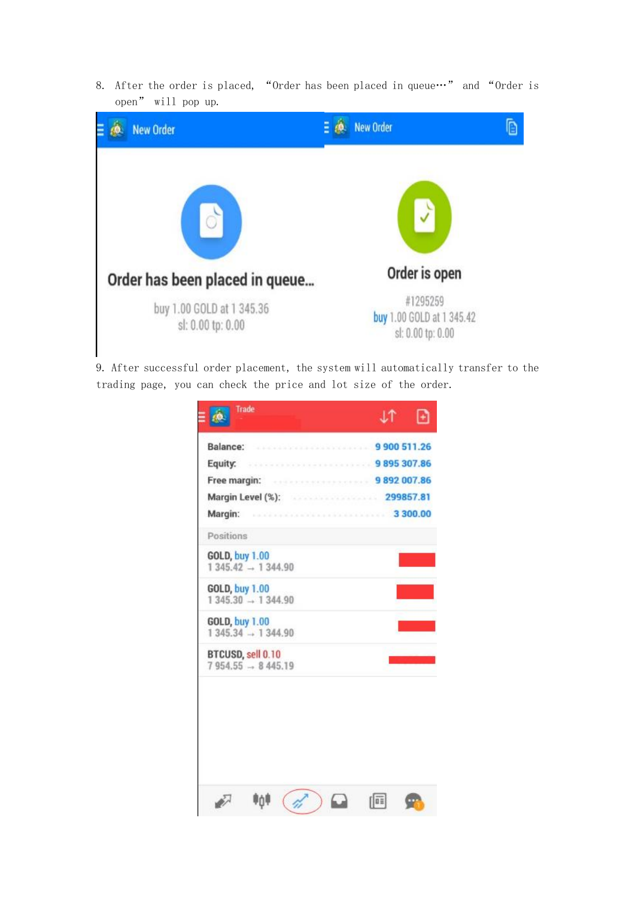8. After the order is placed, "Order has been placed in queue."" and "Order is open" will pop up.



9. After successful order placement, the system will automatically transfer to the trading page, you can check the price and lot size of the order.

| <b>Trade</b>                                           |  |
|--------------------------------------------------------|--|
| Balance: 3000 511.26                                   |  |
| Equity: 307.86                                         |  |
| Free margin: 9892 007.86                               |  |
| Margin Level (%): 299857.81                            |  |
| Margin: 3300.00                                        |  |
| Positions                                              |  |
| <b>GOLD, buy 1.00</b><br>$1345.42 \rightarrow 1344.90$ |  |
| <b>GOLD, buy 1.00</b><br>$1345.30 \rightarrow 1344.90$ |  |
| <b>GOLD, buy 1.00</b><br>$1345.34 - 1344.90$           |  |
| BTCUSD, sell 0.10<br>$7954.55 - 8445.19$               |  |
|                                                        |  |
|                                                        |  |
|                                                        |  |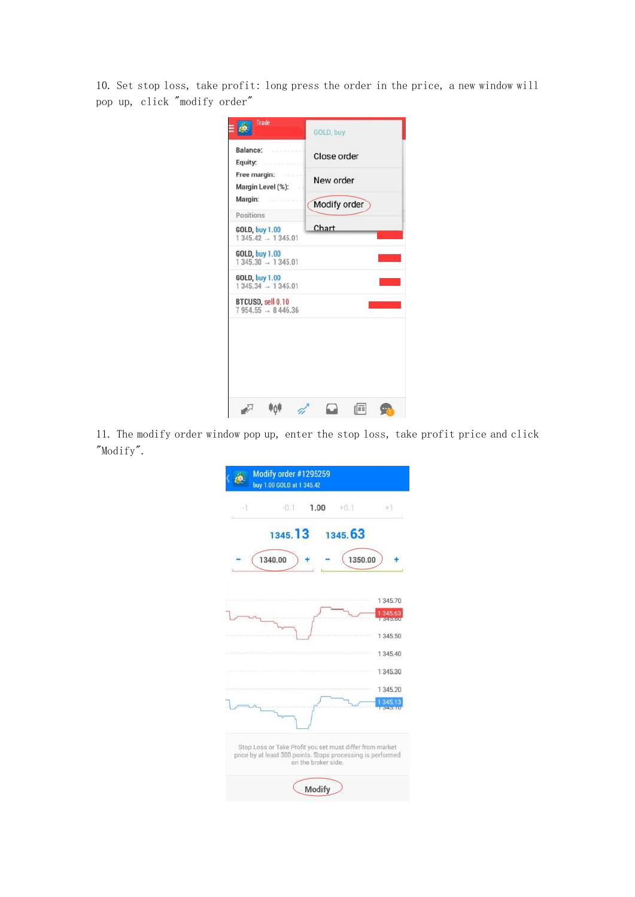10. Set stop loss, take profit: long press the order in the price, a new window will pop up, click "modify order"

| Trade                                        | GOLD, buy    |
|----------------------------------------------|--------------|
| Balance:<br>Equity:                          | Close order  |
| Free margin:<br>Margin Level (%):            | New order    |
| Margin:<br>Positions                         | Modify order |
| <b>GOLD, buy 1.00</b><br>$1345.42 - 1345.01$ | Chart        |
| <b>GOLD, buy 1.00</b><br>$1345.30 - 1345.01$ |              |
| <b>GOLD, buy 1.00</b><br>$1345.34 - 1345.01$ |              |
| BTCUSD, sell 0.10<br>$7954.55 - 8446.36$     |              |
|                                              |              |
|                                              |              |
|                                              |              |
|                                              |              |

11. The modify order window pop up, enter the stop loss, take profit price and click "Modify".

|          | Modify order #1295259<br>buy 1.00 GOLD at 1 345.42                                                                      |                     |         |                              |
|----------|-------------------------------------------------------------------------------------------------------------------------|---------------------|---------|------------------------------|
| $\leq$ 1 | $-0.1$                                                                                                                  | 1.00                | $+0.1$  | $+1$                         |
|          | 1345.13                                                                                                                 |                     | 1345.63 |                              |
|          | 1340.00                                                                                                                 |                     | 1350.00 |                              |
|          |                                                                                                                         |                     |         | 1 345,70                     |
|          |                                                                                                                         |                     |         | 1 345.63<br><b>STORE END</b> |
|          |                                                                                                                         |                     |         | 1 345.50                     |
|          |                                                                                                                         |                     |         | 1 345.40                     |
|          |                                                                                                                         |                     |         | 1345.30                      |
|          |                                                                                                                         |                     |         | 1345.20                      |
|          |                                                                                                                         |                     |         | 134513                       |
|          | Stop Loss or Take Profit you set must differ from market<br>price by at least 300 points. Stops processing is performed | on the broker side. |         |                              |
|          |                                                                                                                         | Modify              |         |                              |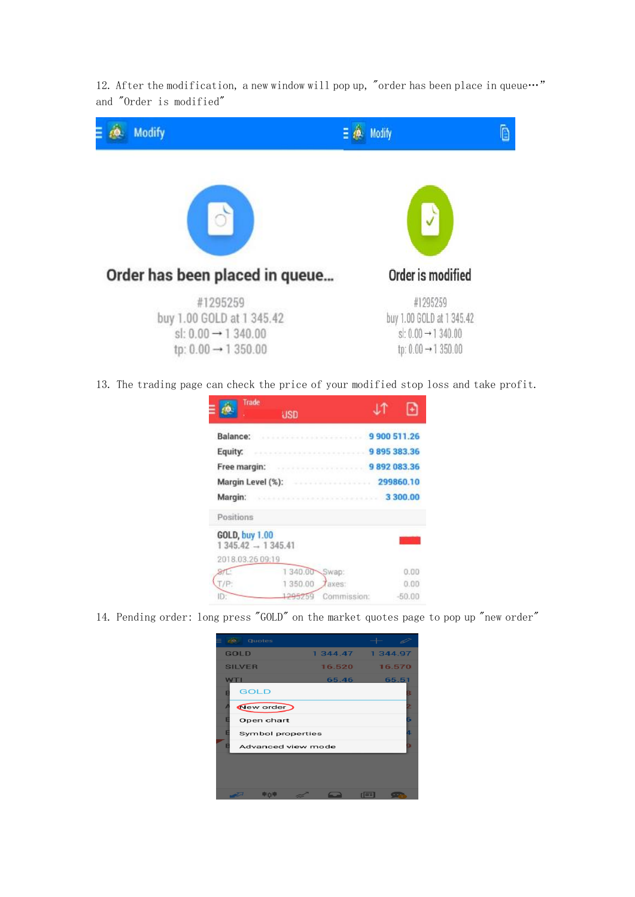12. After the modification, a new window will pop up, "order has been place in queue $\cdots$ " and "Order is modified"



13. The trading page can check the price of your modified stop loss and take profit.

| Trade                                        | USD     |              |            |
|----------------------------------------------|---------|--------------|------------|
|                                              |         |              |            |
| Balance:                                     |         | 9 900 511.26 |            |
| Equity:                                      |         |              | 9895383.36 |
| Free margin:                                 |         |              | 9892083.36 |
| Margin Level (%):                            |         | 299860.10    |            |
| Margin:                                      |         | 3 300.00     |            |
| Positions                                    |         |              |            |
| <b>GOLD, buy 1.00</b><br>$1345.42 - 1345.41$ |         |              |            |
| 2018.03.26 09:19                             |         |              |            |
|                                              | 1340.00 | Swap:        | 0.00       |
|                                              | 350.00  | axes:        | 0.00       |
| IÐ.                                          |         | Commission:  | $-50.00$   |

14. Pending order: long press "GOLD" on the market quotes page to pop up "new order"

| Quotes                        |        |                   |
|-------------------------------|--------|-------------------|
| <b>GOLD</b>                   |        | 1 344.47 1 344.97 |
| <b>SILVER</b>                 | 16.520 | 16.570            |
| <b>WT</b>                     | 65.46  | 65.51             |
| <b>GOLD</b><br>E              |        | B                 |
| New order                     |        |                   |
| E<br>Open chart               |        | Б                 |
| E<br><b>Symbol properties</b> |        |                   |
| Æ<br>Advanced view mode       |        |                   |
|                               |        |                   |
|                               |        |                   |
|                               |        |                   |
| LIT.                          |        | rice              |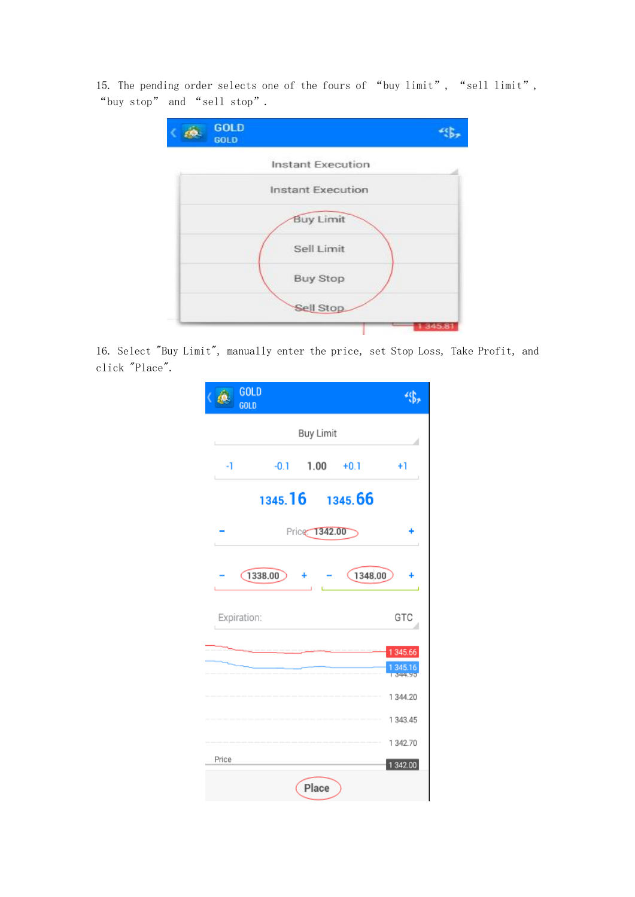15. The pending order selects one of the fours of "buy limit", "sell limit", "buy stop" and "sell stop".



16. Select "Buy Limit", manually enter the price, set Stop Loss, Take Profit, and click "Place".

|       | GOLD<br>GOLD |         |                  |             |         |                      |
|-------|--------------|---------|------------------|-------------|---------|----------------------|
|       |              |         | <b>Buy Limit</b> |             |         |                      |
| -1    |              | $-0.1$  |                  | $1.00 +0.1$ |         | $+1$                 |
|       |              | 1345.16 |                  |             | 1345.66 |                      |
|       |              |         | Price 1342.00    |             |         |                      |
|       | 1338.00      |         |                  |             | 1348.00 |                      |
|       | Expiration:  |         |                  |             |         | GTC                  |
|       |              |         |                  |             |         | 1 345.66<br>1 345.16 |
|       |              |         |                  |             |         | 1 344.20             |
|       |              |         |                  |             |         | 1 343.45             |
| Price |              |         |                  |             |         | 1 342.70             |
|       |              |         | Place            |             |         | 1 342.00             |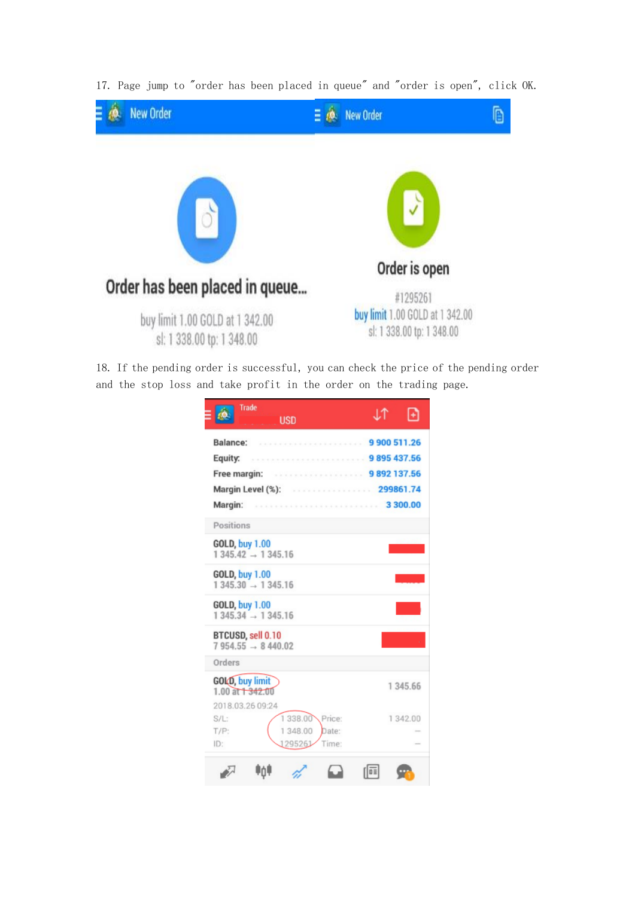

17. Page jump to "order has been placed in queue" and "order is open", click OK.

18. If the pending order is successful, you can check the price of the pending order and the stop loss and take profit in the order on the trading page.

| <b>Trade</b><br><b>USD</b>                                                                                | J.T |          |
|-----------------------------------------------------------------------------------------------------------|-----|----------|
| . 9 900 511.26<br>Balance:<br>Equity:                                                                     |     |          |
|                                                                                                           |     |          |
| Positions                                                                                                 |     |          |
| <b>GOLD, buy 1.00</b><br>$1345.42 \rightarrow 1345.16$                                                    |     |          |
| <b>GOLD, buy 1.00</b><br>$1345.30 \rightarrow 1345.16$                                                    |     |          |
| <b>GOLD, buy 1.00</b><br>$1345.34 \rightarrow 1345.16$                                                    |     |          |
| BTCUSD, sell 0.10<br>$7954.55 - 8440.02$                                                                  |     |          |
| Orders<br>GOLD, buy limit<br>$1.00$ at $+342.00$                                                          |     | 1 345 66 |
| 2018.03.26 09:24<br>1 338.00<br>Price:<br>$S/L$ :<br>1 348.00<br>T/P:<br>Date:<br>ID:<br>1295261<br>Time: |     | 1 342.00 |
|                                                                                                           |     |          |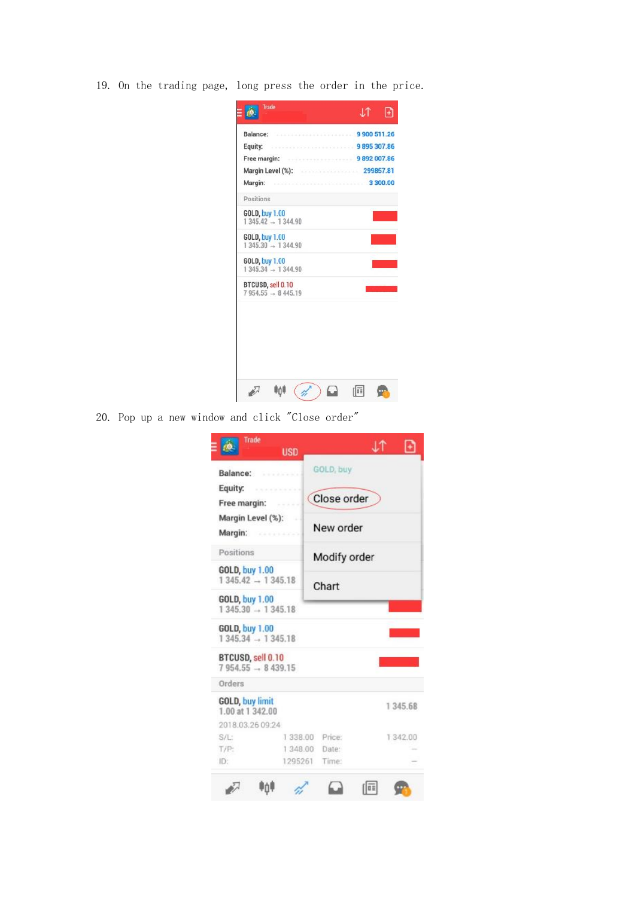19. On the trading page, long press the order in the price.

| Trade                         | .l.T |  |
|-------------------------------|------|--|
| Balance: 9900 511.26          |      |  |
| Equity: 9895 307.86           |      |  |
| Free margin: 9892 007.86      |      |  |
| Margin Level (%): 299857.81   |      |  |
| 3 300.00<br>Margin:           |      |  |
| Positions                     |      |  |
| <b>GOLD, buy 1.00</b>         |      |  |
| $1345.42 - 1344.90$           |      |  |
| <b>GOLD, buy 1.00</b>         |      |  |
| $1345.30 \rightarrow 1344.90$ |      |  |
| <b>GOLD, buy 1.00</b>         |      |  |
| $1345.34 \rightarrow 1344.90$ |      |  |
| BTCUSD, sell 0.10             |      |  |
| $7954.55 - 8445.19$           |      |  |
|                               |      |  |
|                               |      |  |
| ΨńΙ                           | 韮    |  |
|                               |      |  |

20. Pop up a new window and click "Close order"

| Trade<br><b>USD</b>                                    |                  | ΤL |          |
|--------------------------------------------------------|------------------|----|----------|
| Balance:                                               | GOLD, buy        |    |          |
| Equity:<br>Free margin:                                | Close order      |    |          |
| Margin Level (%):<br>Margin: <b>Margin:</b>            | New order        |    |          |
| Positions                                              | Modify order     |    |          |
| <b>GOLD, buy 1.00</b><br>$1345.42 - 1345.18$           | Chart            |    |          |
| <b>GOLD, buy 1.00</b><br>$1345.30 \rightarrow 1345.18$ |                  |    |          |
| <b>GOLD, buy 1.00</b><br>$1345.34 - 1345.18$           |                  |    |          |
| BTCUSD, sell 0.10<br>$7954.55 - 8439.15$               |                  |    |          |
| Orders                                                 |                  |    |          |
| <b>GOLD, buy limit</b><br>1.00 at 1 342.00             |                  |    | 1 345.68 |
| 2018.03.26 09:24                                       |                  |    |          |
| $S/L$ :                                                | 1338.00 Price:   |    | 1 342.00 |
| T/P:                                                   | 1348.00<br>Date: |    |          |
| ID:                                                    | 1295261<br>Time: |    |          |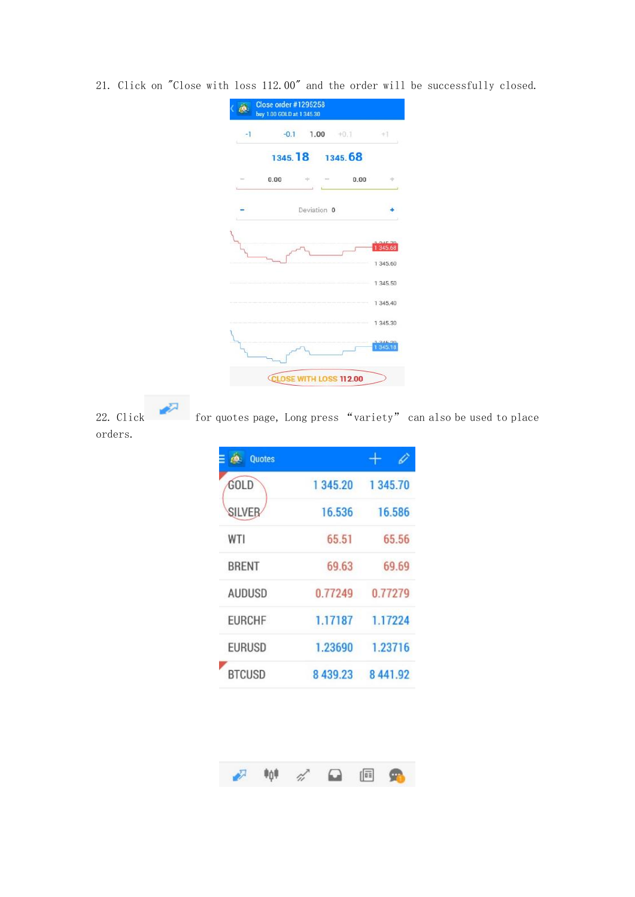21. Click on "Close with loss 112.00" and the order will be successfully closed.



orders.

22. Click for quotes page, Long press "variety" can also be used to place

| <b>Quotes</b> |          |                   |
|---------------|----------|-------------------|
| GOLD          | 1 345.20 | 1 345.70          |
| <b>SILVER</b> | 16.536   | 16,586            |
| WTI           | 65.51    | 65.56             |
| <b>BRENT</b>  | 69.63    | 69.69             |
| <b>AUDUSD</b> | 0.77249  | 0.77279           |
| <b>EURCHF</b> | 1.17187  | 1.17224           |
| <b>EURUSD</b> | 1.23690  | 1.23716           |
| <b>BTCUSD</b> |          | 8 439.23 8 441.92 |

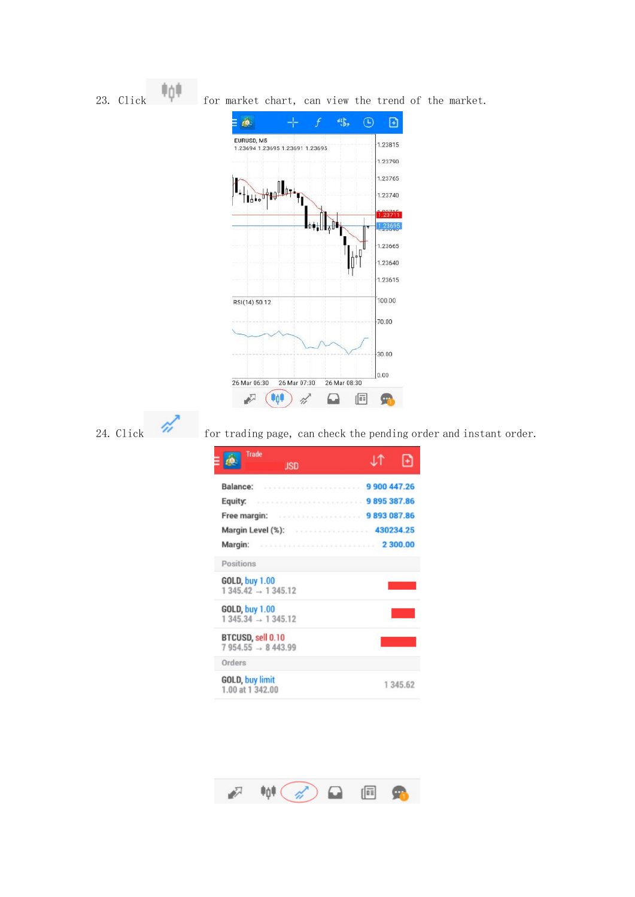

| <b>Trade</b><br>usd                                    |          |
|--------------------------------------------------------|----------|
| Balance:<br>9900447.26                                 |          |
| Equity:                                                |          |
| . 9 893 087.86<br>Free margin:                         |          |
|                                                        |          |
| Margin:                                                |          |
| Positions                                              |          |
| <b>GOLD, buy 1.00</b><br>$1345.42 \rightarrow 1345.12$ |          |
| <b>GOLD, buy 1.00</b><br>$1345.34 \rightarrow 1345.12$ |          |
| BTCUSD, sell 0.10<br>$7954.55 \rightarrow 8443.99$     |          |
| Orders                                                 |          |
| <b>GOLD, buy limit</b><br>1.00 at 1 342.00             | 1 345.62 |

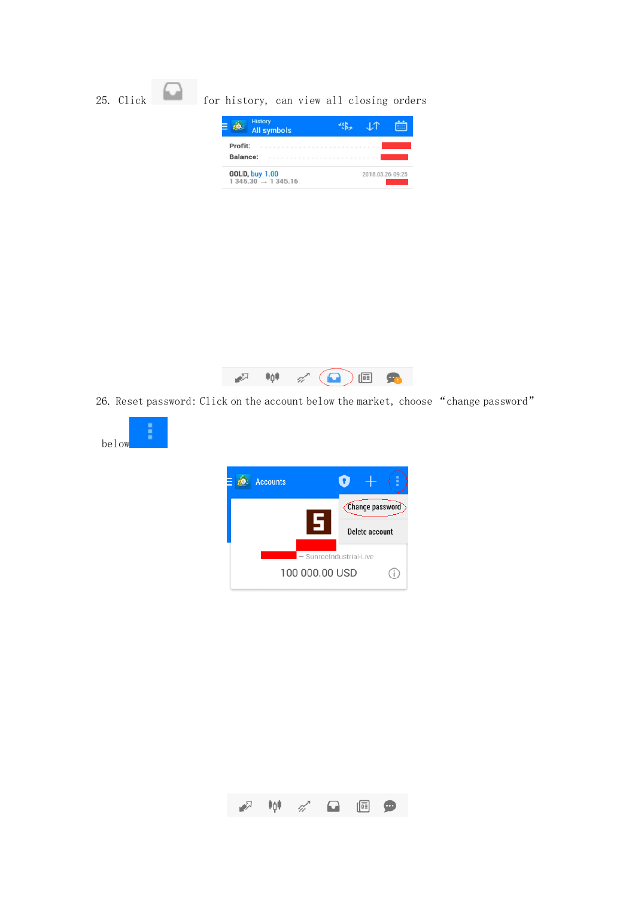



26. Reset password: Click on the account below the market, choose "change password"



below

i